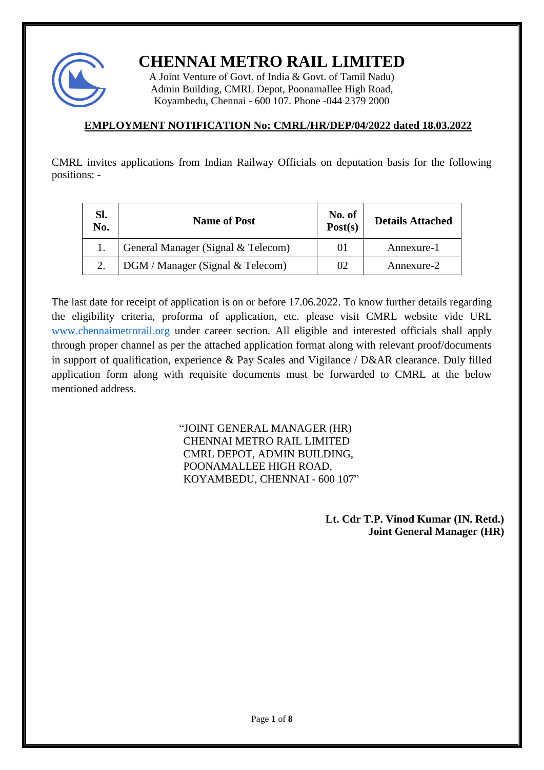

**CHENNAI METRO RAIL LIMITED**

A Joint Venture of Govt. of India & Govt. of Tamil Nadu) Admin Building, CMRL Depot, Poonamallee High Road, Koyambedu, Chennai - 600 107. Phone -044 2379 2000

## **EMPLOYMENT NOTIFICATION No: CMRL/HR/DEP/04/2022 dated 18.03.2022**

CMRL invites applications from Indian Railway Officials on deputation basis for the following positions: -

| SI.<br>No. | <b>Name of Post</b>                | No. of<br>Post(s) | <b>Details Attached</b> |  |  |
|------------|------------------------------------|-------------------|-------------------------|--|--|
|            | General Manager (Signal & Telecom) | 01                | Annexure-1              |  |  |
|            | DGM / Manager (Signal & Telecom)   | 02                | Annexure-2              |  |  |

The last date for receipt of application is on or before 17.06.2022. To know further details regarding the eligibility criteria, proforma of application, etc. please visit CMRL website vide URL [www.chennaimetrorail.org](http://www.chennaimetrorail.org/) under career section. All eligible and interested officials shall apply through proper channel as per the attached application format along with relevant proof/documents in support of qualification, experience & Pay Scales and Vigilance / D&AR clearance. Duly filled application form along with requisite documents must be forwarded to CMRL at the below mentioned address.

> "JOINT GENERAL MANAGER (HR) CHENNAI METRO RAIL LIMITED CMRL DEPOT, ADMIN BUILDING, POONAMALLEE HIGH ROAD, KOYAMBEDU, CHENNAI - 600 107"

> > **Lt. Cdr T.P. Vinod Kumar (IN. Retd.) Joint General Manager (HR)**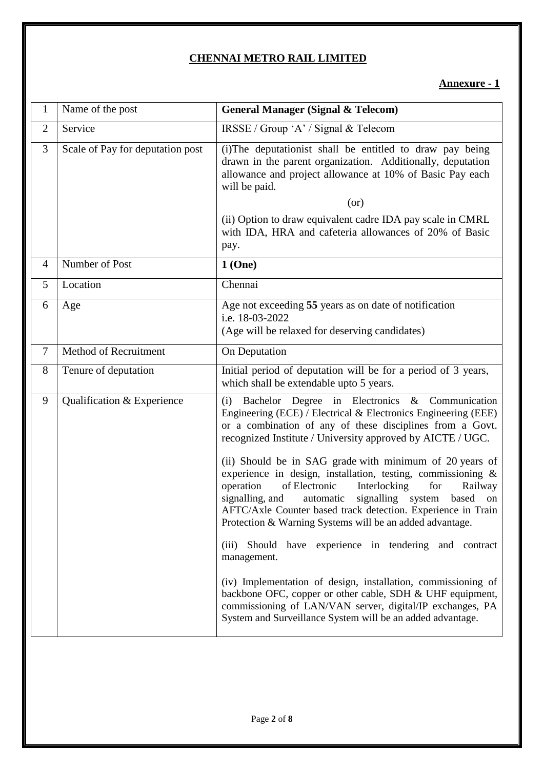# **CHENNAI METRO RAIL LIMITED**

### **Annexure - 1**

| 1              | Name of the post                 | <b>General Manager (Signal &amp; Telecom)</b>                                                                                                                                                                                                                                                                                                                                                                                                                                                                                                                                                                                                                                                                                                                                                                                                                                                                                                                                |
|----------------|----------------------------------|------------------------------------------------------------------------------------------------------------------------------------------------------------------------------------------------------------------------------------------------------------------------------------------------------------------------------------------------------------------------------------------------------------------------------------------------------------------------------------------------------------------------------------------------------------------------------------------------------------------------------------------------------------------------------------------------------------------------------------------------------------------------------------------------------------------------------------------------------------------------------------------------------------------------------------------------------------------------------|
| $\overline{2}$ | Service                          | IRSSE / Group 'A' / Signal & Telecom                                                                                                                                                                                                                                                                                                                                                                                                                                                                                                                                                                                                                                                                                                                                                                                                                                                                                                                                         |
| 3              | Scale of Pay for deputation post | (i) The deputationist shall be entitled to draw pay being<br>drawn in the parent organization. Additionally, deputation<br>allowance and project allowance at 10% of Basic Pay each<br>will be paid.<br>(or)<br>(ii) Option to draw equivalent cadre IDA pay scale in CMRL<br>with IDA, HRA and cafeteria allowances of 20% of Basic<br>pay.                                                                                                                                                                                                                                                                                                                                                                                                                                                                                                                                                                                                                                 |
| $\overline{4}$ | Number of Post                   | 1(One)                                                                                                                                                                                                                                                                                                                                                                                                                                                                                                                                                                                                                                                                                                                                                                                                                                                                                                                                                                       |
| 5              | Location                         | Chennai                                                                                                                                                                                                                                                                                                                                                                                                                                                                                                                                                                                                                                                                                                                                                                                                                                                                                                                                                                      |
| 6              | Age                              | Age not exceeding 55 years as on date of notification<br>i.e. 18-03-2022<br>(Age will be relaxed for deserving candidates)                                                                                                                                                                                                                                                                                                                                                                                                                                                                                                                                                                                                                                                                                                                                                                                                                                                   |
| $\overline{7}$ | Method of Recruitment            | On Deputation                                                                                                                                                                                                                                                                                                                                                                                                                                                                                                                                                                                                                                                                                                                                                                                                                                                                                                                                                                |
| 8              | Tenure of deputation             | Initial period of deputation will be for a period of 3 years,<br>which shall be extendable upto 5 years.                                                                                                                                                                                                                                                                                                                                                                                                                                                                                                                                                                                                                                                                                                                                                                                                                                                                     |
| 9              | Qualification & Experience       | Bachelor Degree in Electronics & Communication<br>(i)<br>Engineering (ECE) / Electrical & Electronics Engineering (EEE)<br>or a combination of any of these disciplines from a Govt.<br>recognized Institute / University approved by AICTE / UGC.<br>(ii) Should be in SAG grade with minimum of 20 years of<br>experience in design, installation, testing, commissioning &<br>operation<br>of Electronic<br>Interlocking<br>for<br>Railway<br>signalling, and<br>automatic<br>signalling system based on<br>AFTC/Axle Counter based track detection. Experience in Train<br>Protection & Warning Systems will be an added advantage.<br>Should have experience in tendering and contract<br>(iii)<br>management.<br>(iv) Implementation of design, installation, commissioning of<br>backbone OFC, copper or other cable, SDH & UHF equipment,<br>commissioning of LAN/VAN server, digital/IP exchanges, PA<br>System and Surveillance System will be an added advantage. |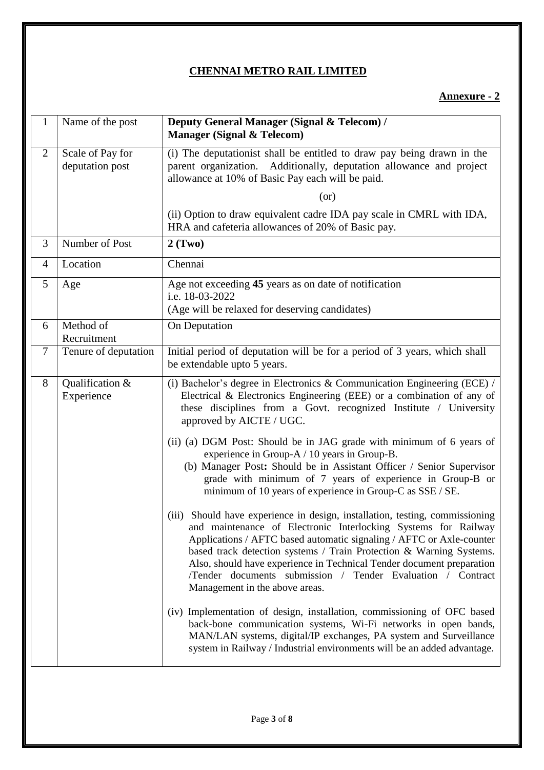## **CHENNAI METRO RAIL LIMITED**

# **Annexure - 2**

| $\mathbf{1}$   | Name of the post                    | Deputy General Manager (Signal & Telecom) /<br><b>Manager (Signal &amp; Telecom)</b>                                                                                                                                                                                                                                                                                                                                                                                       |
|----------------|-------------------------------------|----------------------------------------------------------------------------------------------------------------------------------------------------------------------------------------------------------------------------------------------------------------------------------------------------------------------------------------------------------------------------------------------------------------------------------------------------------------------------|
| $\overline{2}$ | Scale of Pay for<br>deputation post | (i) The deputationist shall be entitled to draw pay being drawn in the<br>parent organization. Additionally, deputation allowance and project<br>allowance at 10% of Basic Pay each will be paid.                                                                                                                                                                                                                                                                          |
|                |                                     | (or)                                                                                                                                                                                                                                                                                                                                                                                                                                                                       |
|                |                                     | (ii) Option to draw equivalent cadre IDA pay scale in CMRL with IDA,<br>HRA and cafeteria allowances of 20% of Basic pay.                                                                                                                                                                                                                                                                                                                                                  |
| 3              | Number of Post                      | 2(Two)                                                                                                                                                                                                                                                                                                                                                                                                                                                                     |
| $\overline{4}$ | Location                            | Chennai                                                                                                                                                                                                                                                                                                                                                                                                                                                                    |
| 5              | Age                                 | Age not exceeding 45 years as on date of notification<br>i.e. 18-03-2022<br>(Age will be relaxed for deserving candidates)                                                                                                                                                                                                                                                                                                                                                 |
| 6              | Method of                           | On Deputation                                                                                                                                                                                                                                                                                                                                                                                                                                                              |
|                | Recruitment                         |                                                                                                                                                                                                                                                                                                                                                                                                                                                                            |
| $\tau$         | Tenure of deputation                | Initial period of deputation will be for a period of 3 years, which shall<br>be extendable upto 5 years.                                                                                                                                                                                                                                                                                                                                                                   |
| 8              | Qualification &<br>Experience       | (i) Bachelor's degree in Electronics & Communication Engineering (ECE) /<br>Electrical & Electronics Engineering (EEE) or a combination of any of<br>these disciplines from a Govt. recognized Institute / University<br>approved by AICTE / UGC.                                                                                                                                                                                                                          |
|                |                                     | (ii) (a) DGM Post: Should be in JAG grade with minimum of 6 years of<br>experience in Group-A / 10 years in Group-B.<br>(b) Manager Post: Should be in Assistant Officer / Senior Supervisor<br>grade with minimum of 7 years of experience in Group-B or<br>minimum of 10 years of experience in Group-C as SSE / SE.                                                                                                                                                     |
|                |                                     | Should have experience in design, installation, testing, commissioning<br>(iii)<br>and maintenance of Electronic Interlocking Systems for Railway<br>Applications / AFTC based automatic signaling / AFTC or Axle-counter<br>based track detection systems / Train Protection & Warning Systems.<br>Also, should have experience in Technical Tender document preparation<br>/Tender documents submission / Tender Evaluation / Contract<br>Management in the above areas. |
|                |                                     | (iv) Implementation of design, installation, commissioning of OFC based<br>back-bone communication systems, Wi-Fi networks in open bands,<br>MAN/LAN systems, digital/IP exchanges, PA system and Surveillance<br>system in Railway / Industrial environments will be an added advantage.                                                                                                                                                                                  |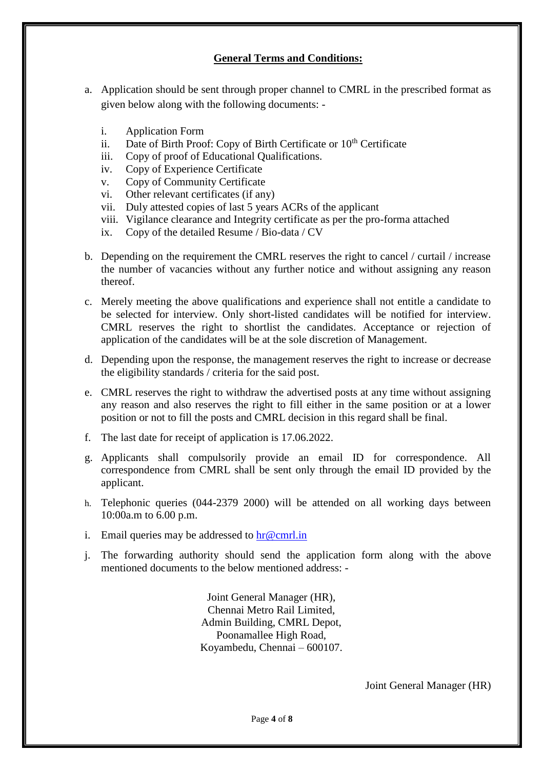### **General Terms and Conditions:**

- a. Application should be sent through proper channel to CMRL in the prescribed format as given below along with the following documents:
	- i. Application Form
	- ii. Date of Birth Proof: Copy of Birth Certificate or 10<sup>th</sup> Certificate
	- iii. Copy of proof of Educational Qualifications.
	- iv. Copy of Experience Certificate
	- v. Copy of Community Certificate
	- vi. Other relevant certificates (if any)
	- vii. Duly attested copies of last 5 years ACRs of the applicant
	- viii. Vigilance clearance and Integrity certificate as per the pro-forma attached
	- ix. Copy of the detailed Resume / Bio-data / CV
- b. Depending on the requirement the CMRL reserves the right to cancel / curtail / increase the number of vacancies without any further notice and without assigning any reason thereof.
- c. Merely meeting the above qualifications and experience shall not entitle a candidate to be selected for interview. Only short-listed candidates will be notified for interview. CMRL reserves the right to shortlist the candidates. Acceptance or rejection of application of the candidates will be at the sole discretion of Management.
- d. Depending upon the response, the management reserves the right to increase or decrease the eligibility standards / criteria for the said post.
- e. CMRL reserves the right to withdraw the advertised posts at any time without assigning any reason and also reserves the right to fill either in the same position or at a lower position or not to fill the posts and CMRL decision in this regard shall be final.
- f. The last date for receipt of application is 17.06.2022.
- g. Applicants shall compulsorily provide an email ID for correspondence. All correspondence from CMRL shall be sent only through the email ID provided by the applicant.
- h. Telephonic queries (044-2379 2000) will be attended on all working days between 10:00a.m to 6.00 p.m.
- i. Email queries may be addressed to  $\ln \omega$  cmrl.in
- j. The forwarding authority should send the application form along with the above mentioned documents to the below mentioned address: -

Joint General Manager (HR), Chennai Metro Rail Limited, Admin Building, CMRL Depot, Poonamallee High Road, Koyambedu, Chennai – 600107.

Joint General Manager (HR)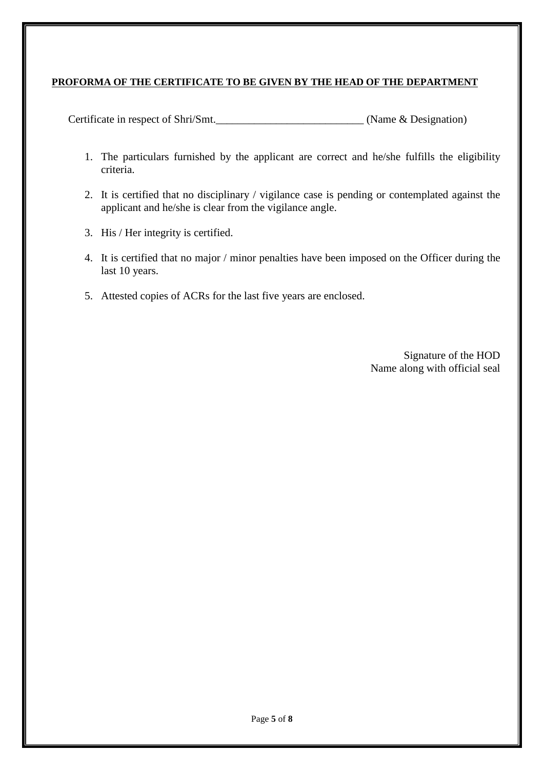### **PROFORMA OF THE CERTIFICATE TO BE GIVEN BY THE HEAD OF THE DEPARTMENT**

Certificate in respect of Shri/Smt. (Name & Designation)

- 1. The particulars furnished by the applicant are correct and he/she fulfills the eligibility criteria.
- 2. It is certified that no disciplinary / vigilance case is pending or contemplated against the applicant and he/she is clear from the vigilance angle.
- 3. His / Her integrity is certified.
- 4. It is certified that no major / minor penalties have been imposed on the Officer during the last 10 years.
- 5. Attested copies of ACRs for the last five years are enclosed.

 Signature of the HOD Name along with official seal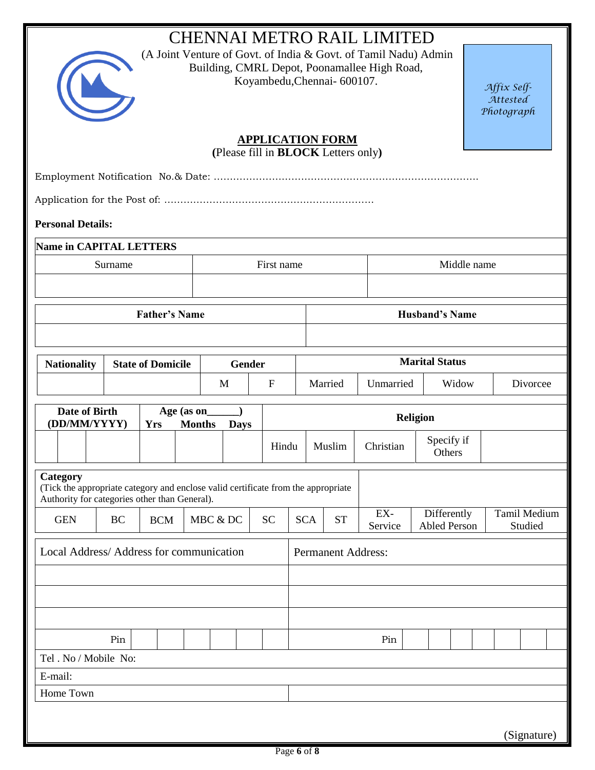| <b>CHENNAI METRO RAIL LIMITED</b><br>(A Joint Venture of Govt. of India & Govt. of Tamil Nadu) Admin<br>Building, CMRL Depot, Poonamallee High Road,<br>Koyambedu, Chennai- 600107.<br>Affix Self-<br>Attested<br>Photograph |                                                            |                          |                       |          |             |                                                                       |                           |            |           |                |                      |  |                                    |  |              |             |  |
|------------------------------------------------------------------------------------------------------------------------------------------------------------------------------------------------------------------------------|------------------------------------------------------------|--------------------------|-----------------------|----------|-------------|-----------------------------------------------------------------------|---------------------------|------------|-----------|----------------|----------------------|--|------------------------------------|--|--------------|-------------|--|
|                                                                                                                                                                                                                              |                                                            |                          |                       |          |             | <b>APPLICATION FORM</b><br>(Please fill in <b>BLOCK</b> Letters only) |                           |            |           |                |                      |  |                                    |  |              |             |  |
|                                                                                                                                                                                                                              |                                                            |                          |                       |          |             |                                                                       |                           |            |           |                |                      |  |                                    |  |              |             |  |
|                                                                                                                                                                                                                              |                                                            |                          |                       |          |             |                                                                       |                           |            |           |                |                      |  |                                    |  |              |             |  |
|                                                                                                                                                                                                                              |                                                            |                          |                       |          |             |                                                                       |                           |            |           |                |                      |  |                                    |  |              |             |  |
|                                                                                                                                                                                                                              | <b>Personal Details:</b><br><b>Name in CAPITAL LETTERS</b> |                          |                       |          |             |                                                                       |                           |            |           |                |                      |  |                                    |  |              |             |  |
|                                                                                                                                                                                                                              | Surname                                                    |                          |                       |          |             | First name                                                            |                           |            |           |                |                      |  | Middle name                        |  |              |             |  |
|                                                                                                                                                                                                                              |                                                            |                          |                       |          |             |                                                                       |                           |            |           |                |                      |  |                                    |  |              |             |  |
| <b>Father's Name</b>                                                                                                                                                                                                         |                                                            |                          |                       |          |             |                                                                       |                           |            |           |                |                      |  |                                    |  |              |             |  |
|                                                                                                                                                                                                                              |                                                            |                          |                       |          |             |                                                                       | <b>Husband's Name</b>     |            |           |                |                      |  |                                    |  |              |             |  |
|                                                                                                                                                                                                                              |                                                            |                          | <b>Marital Status</b> |          |             |                                                                       |                           |            |           |                |                      |  |                                    |  |              |             |  |
| <b>Nationality</b>                                                                                                                                                                                                           |                                                            | <b>State of Domicile</b> |                       | M        | Gender      | $\mathbf{F}$                                                          |                           |            | Married   | Unmarried      | Widow                |  |                                    |  | Divorcee     |             |  |
|                                                                                                                                                                                                                              |                                                            |                          |                       |          |             |                                                                       |                           |            |           |                |                      |  |                                    |  |              |             |  |
| Date of Birth<br>(DD/MM/YYYY)                                                                                                                                                                                                |                                                            | Age (as on<br><b>Yrs</b> | <b>Months</b>         |          | <b>Days</b> |                                                                       | <b>Religion</b>           |            |           |                |                      |  |                                    |  |              |             |  |
|                                                                                                                                                                                                                              |                                                            |                          |                       |          |             | Hindu                                                                 |                           |            | Muslim    | Christian      | Specify if<br>Others |  |                                    |  |              |             |  |
| Category<br>(Tick the appropriate category and enclose valid certificate from the appropriate<br>Authority for categories other than General).                                                                               |                                                            |                          |                       |          |             |                                                                       |                           |            |           |                |                      |  |                                    |  |              |             |  |
| <b>GEN</b>                                                                                                                                                                                                                   | BC                                                         | <b>BCM</b>               |                       | MBC & DC |             | <b>SC</b>                                                             |                           | <b>SCA</b> | <b>ST</b> | EX-<br>Service |                      |  | Differently<br><b>Abled Person</b> |  | Tamil Medium | Studied     |  |
| Local Address/Address for communication                                                                                                                                                                                      |                                                            |                          |                       |          |             |                                                                       | <b>Permanent Address:</b> |            |           |                |                      |  |                                    |  |              |             |  |
|                                                                                                                                                                                                                              |                                                            |                          |                       |          |             |                                                                       |                           |            |           |                |                      |  |                                    |  |              |             |  |
|                                                                                                                                                                                                                              |                                                            |                          |                       |          |             |                                                                       |                           |            |           |                |                      |  |                                    |  |              |             |  |
|                                                                                                                                                                                                                              |                                                            |                          |                       |          |             |                                                                       |                           |            |           |                |                      |  |                                    |  |              |             |  |
|                                                                                                                                                                                                                              | Pin                                                        |                          |                       |          | Pin         |                                                                       |                           |            |           |                |                      |  |                                    |  |              |             |  |
| Tel . No / Mobile No:                                                                                                                                                                                                        |                                                            |                          |                       |          |             |                                                                       |                           |            |           |                |                      |  |                                    |  |              |             |  |
| E-mail:<br>Home Town                                                                                                                                                                                                         |                                                            |                          |                       |          |             |                                                                       |                           |            |           |                |                      |  |                                    |  |              |             |  |
|                                                                                                                                                                                                                              |                                                            |                          |                       |          |             |                                                                       |                           |            |           |                |                      |  |                                    |  |              |             |  |
|                                                                                                                                                                                                                              |                                                            |                          |                       |          |             |                                                                       |                           |            |           |                |                      |  |                                    |  |              | (Signature) |  |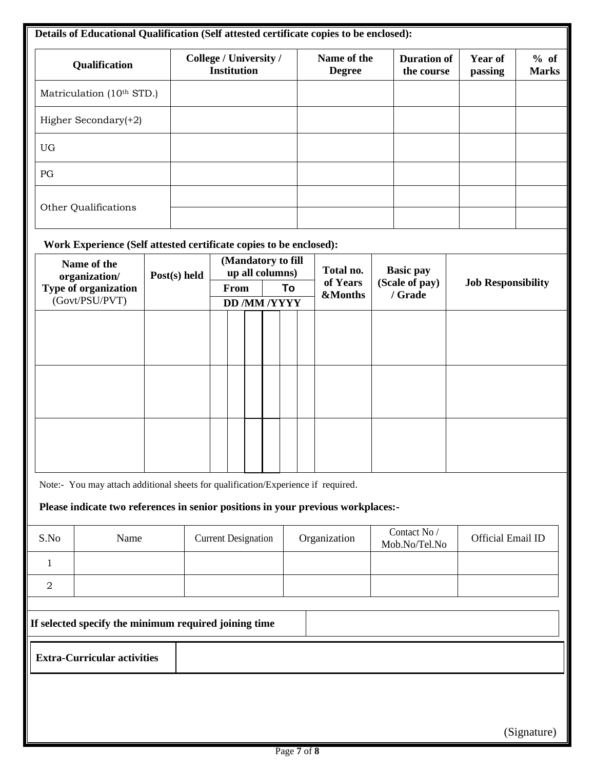| Qualification             |                                                                                   |  | College / University /<br><b>Institution</b> |                            |  |  |                                       |    | Name of the<br><b>Degree</b> |                     |                               | <b>Duration of</b><br>the course | <b>Year of</b><br>passing | % of<br><b>Marks</b> |  |
|---------------------------|-----------------------------------------------------------------------------------|--|----------------------------------------------|----------------------------|--|--|---------------------------------------|----|------------------------------|---------------------|-------------------------------|----------------------------------|---------------------------|----------------------|--|
| Matriculation (10th STD.) |                                                                                   |  |                                              |                            |  |  |                                       |    |                              |                     |                               |                                  |                           |                      |  |
|                           | Higher Secondary(+2)                                                              |  |                                              |                            |  |  |                                       |    |                              |                     |                               |                                  |                           |                      |  |
| <b>UG</b>                 |                                                                                   |  |                                              |                            |  |  |                                       |    |                              |                     |                               |                                  |                           |                      |  |
| PG                        |                                                                                   |  |                                              |                            |  |  |                                       |    |                              |                     |                               |                                  |                           |                      |  |
|                           | Other Qualifications                                                              |  |                                              |                            |  |  |                                       |    |                              |                     |                               |                                  |                           |                      |  |
|                           | Work Experience (Self attested certificate copies to be enclosed):                |  |                                              |                            |  |  |                                       |    |                              |                     |                               |                                  |                           |                      |  |
|                           | Name of the<br>organization/                                                      |  | Post(s) held                                 |                            |  |  | (Mandatory to fill<br>up all columns) |    |                              | Total no.           |                               | <b>Basic pay</b>                 |                           |                      |  |
|                           | Type of organization<br>(Govt/PSU/PVT)                                            |  |                                              | From                       |  |  |                                       | To |                              | of Years<br>&Months | (Scale of pay)<br>/ Grade     |                                  | <b>Job Responsibility</b> |                      |  |
|                           |                                                                                   |  |                                              | <b>DD /MM /YYYY</b>        |  |  |                                       |    |                              |                     |                               |                                  |                           |                      |  |
|                           |                                                                                   |  |                                              |                            |  |  |                                       |    |                              |                     |                               |                                  |                           |                      |  |
|                           |                                                                                   |  |                                              |                            |  |  |                                       |    |                              |                     |                               |                                  |                           |                      |  |
|                           |                                                                                   |  |                                              |                            |  |  |                                       |    |                              |                     |                               |                                  |                           |                      |  |
|                           |                                                                                   |  |                                              |                            |  |  |                                       |    |                              |                     |                               |                                  |                           |                      |  |
|                           |                                                                                   |  |                                              |                            |  |  |                                       |    |                              |                     |                               |                                  |                           |                      |  |
|                           | Note:- You may attach additional sheets for qualification/Experience if required. |  |                                              |                            |  |  |                                       |    |                              |                     |                               |                                  |                           |                      |  |
|                           | Please indicate two references in senior positions in your previous workplaces:-  |  |                                              |                            |  |  |                                       |    |                              |                     |                               |                                  |                           |                      |  |
| S.No                      | Name                                                                              |  |                                              | <b>Current Designation</b> |  |  |                                       |    | Organization                 |                     | Contact No /<br>Mob.No/Tel.No |                                  | Official Email ID         |                      |  |
| 1                         |                                                                                   |  |                                              |                            |  |  |                                       |    |                              |                     |                               |                                  |                           |                      |  |
| $\overline{a}$            |                                                                                   |  |                                              |                            |  |  |                                       |    |                              |                     |                               |                                  |                           |                      |  |
|                           | If selected specify the minimum required joining time                             |  |                                              |                            |  |  |                                       |    |                              |                     |                               |                                  |                           |                      |  |
|                           | <b>Extra-Curricular activities</b>                                                |  |                                              |                            |  |  |                                       |    |                              |                     |                               |                                  |                           |                      |  |
|                           |                                                                                   |  |                                              |                            |  |  |                                       |    |                              |                     |                               |                                  |                           |                      |  |

(Signature)